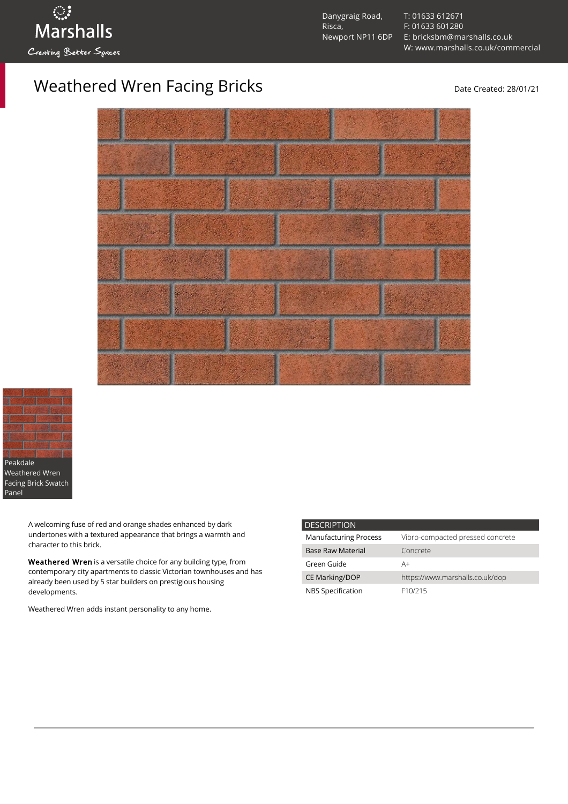

Danygraig Road, Risca, Newport NP11 6DP [T: 01633 612671](tel:01633%20612671) [F: 01633 601280](tel:01633%20601280) [E: bricksbm@marshalls.co.uk](mailto:bricksbm@marshalls.co.uk) [W: www.marshalls.co.uk/commercial](https://www.marshalls.co.uk/commercial)

Weathered Wren Facing Bricks and Controller and Date Created: 28/01/21





A welcoming fuse of red and orange shades enhanced by dark undertones with a textured appearance that brings a warmth and character to this brick.

Weathered Wren is a versatile choice for any building type, from contemporary city apartments to classic Victorian townhouses and has already been used by 5 star builders on prestigious housing developments.

Weathered Wren adds instant personality to any home.

| <b>DESCRIPTION</b>           |                                  |
|------------------------------|----------------------------------|
| <b>Manufacturing Process</b> | Vibro-compacted pressed concrete |
| <b>Base Raw Material</b>     | Concrete                         |
| Green Guide                  | A+                               |
| <b>CE Marking/DOP</b>        | https://www.marshalls.co.uk/dop  |
| NBS Specification            | F <sub>10</sub> /215             |